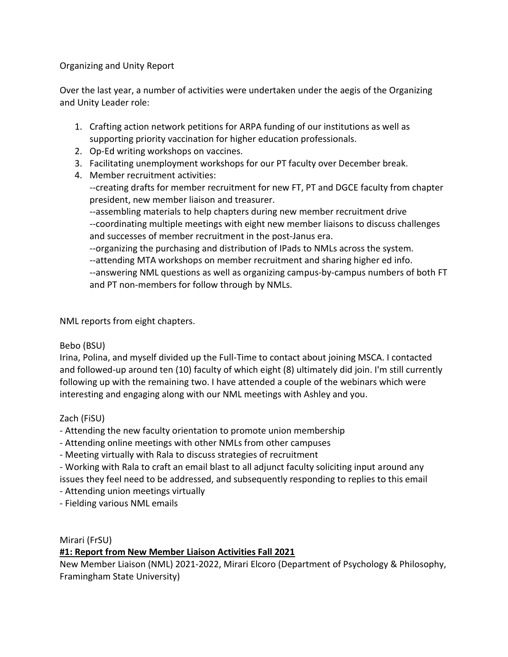Organizing and Unity Report

Over the last year, a number of activities were undertaken under the aegis of the Organizing and Unity Leader role:

- 1. Crafting action network petitions for ARPA funding of our institutions as well as supporting priority vaccination for higher education professionals.
- 2. Op-Ed writing workshops on vaccines.
- 3. Facilitating unemployment workshops for our PT faculty over December break.
- 4. Member recruitment activities: --creating drafts for member recruitment for new FT, PT and DGCE faculty from chapter president, new member liaison and treasurer. --assembling materials to help chapters during new member recruitment drive

--coordinating multiple meetings with eight new member liaisons to discuss challenges and successes of member recruitment in the post-Janus era.

--organizing the purchasing and distribution of IPads to NMLs across the system.

--attending MTA workshops on member recruitment and sharing higher ed info.

--answering NML questions as well as organizing campus-by-campus numbers of both FT and PT non-members for follow through by NMLs.

NML reports from eight chapters.

## Bebo (BSU)

Irina, Polina, and myself divided up the Full-Time to contact about joining MSCA. I contacted and followed-up around ten (10) faculty of which eight (8) ultimately did join. I'm still currently following up with the remaining two. I have attended a couple of the webinars which were interesting and engaging along with our NML meetings with Ashley and you.

## Zach (FiSU)

- Attending the new faculty orientation to promote union membership
- Attending online meetings with other NMLs from other campuses
- Meeting virtually with Rala to discuss strategies of recruitment
- Working with Rala to craft an email blast to all adjunct faculty soliciting input around any issues they feel need to be addressed, and subsequently responding to replies to this email
- Attending union meetings virtually

- Fielding various NML emails

Mirari (FrSU)

# **#1: Report from New Member Liaison Activities Fall 2021**

New Member Liaison (NML) 2021-2022, Mirari Elcoro (Department of Psychology & Philosophy, Framingham State University)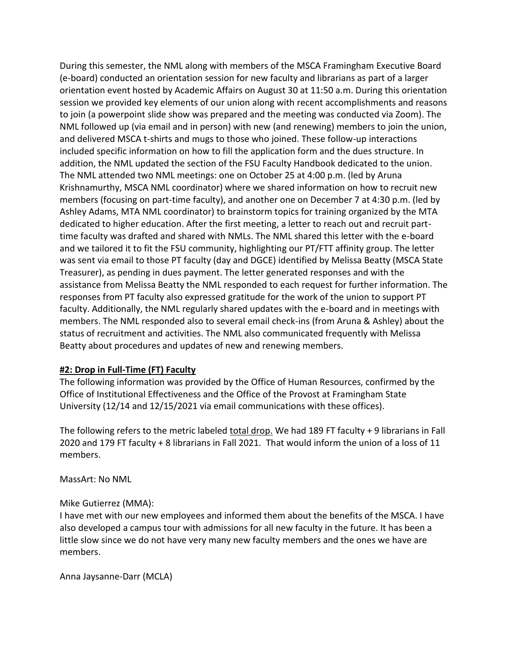During this semester, the NML along with members of the MSCA Framingham Executive Board (e-board) conducted an orientation session for new faculty and librarians as part of a larger orientation event hosted by Academic Affairs on August 30 at 11:50 a.m. During this orientation session we provided key elements of our union along with recent accomplishments and reasons to join (a powerpoint slide show was prepared and the meeting was conducted via Zoom). The NML followed up (via email and in person) with new (and renewing) members to join the union, and delivered MSCA t-shirts and mugs to those who joined. These follow-up interactions included specific information on how to fill the application form and the dues structure. In addition, the NML updated the section of the FSU Faculty Handbook dedicated to the union. The NML attended two NML meetings: one on October 25 at 4:00 p.m. (led by Aruna Krishnamurthy, MSCA NML coordinator) where we shared information on how to recruit new members (focusing on part-time faculty), and another one on December 7 at 4:30 p.m. (led by Ashley Adams, MTA NML coordinator) to brainstorm topics for training organized by the MTA dedicated to higher education. After the first meeting, a letter to reach out and recruit parttime faculty was drafted and shared with NMLs. The NML shared this letter with the e-board and we tailored it to fit the FSU community, highlighting our PT/FTT affinity group. The letter was sent via email to those PT faculty (day and DGCE) identified by Melissa Beatty (MSCA State Treasurer), as pending in dues payment. The letter generated responses and with the assistance from Melissa Beatty the NML responded to each request for further information. The responses from PT faculty also expressed gratitude for the work of the union to support PT faculty. Additionally, the NML regularly shared updates with the e-board and in meetings with members. The NML responded also to several email check-ins (from Aruna & Ashley) about the status of recruitment and activities. The NML also communicated frequently with Melissa Beatty about procedures and updates of new and renewing members.

## **#2: Drop in Full-Time (FT) Faculty**

The following information was provided by the Office of Human Resources, confirmed by the Office of Institutional Effectiveness and the Office of the Provost at Framingham State University (12/14 and 12/15/2021 via email communications with these offices).

The following refers to the metric labeled total drop. We had 189 FT faculty + 9 librarians in Fall 2020 and 179 FT faculty + 8 librarians in Fall 2021. That would inform the union of a loss of 11 members.

MassArt: No NML

## Mike Gutierrez (MMA):

I have met with our new employees and informed them about the benefits of the MSCA. I have also developed a campus tour with admissions for all new faculty in the future. It has been a little slow since we do not have very many new faculty members and the ones we have are members.

Anna Jaysanne-Darr (MCLA)